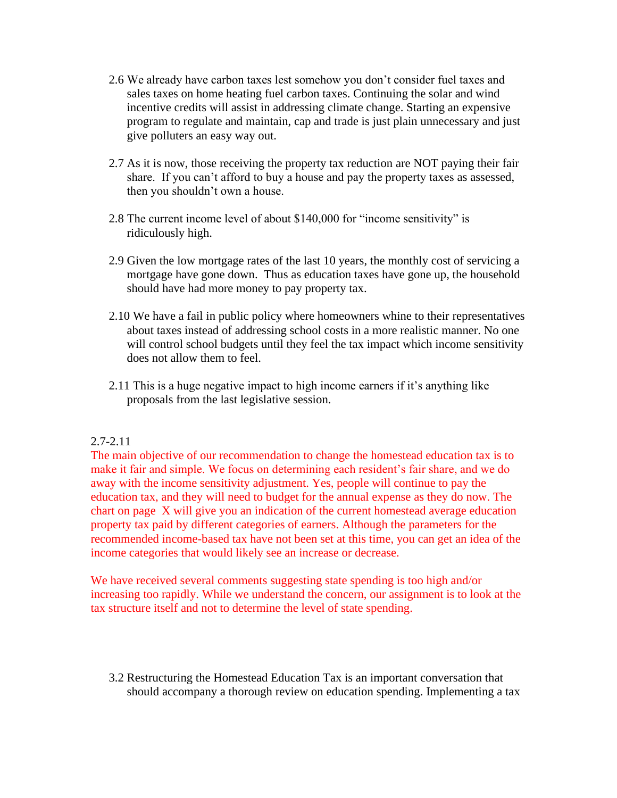- 2.6 We already have carbon taxes lest somehow you don't consider fuel taxes and sales taxes on home heating fuel carbon taxes. Continuing the solar and wind incentive credits will assist in addressing climate change. Starting an expensive program to regulate and maintain, cap and trade is just plain unnecessary and just give polluters an easy way out.
- 2.7 As it is now, those receiving the property tax reduction are NOT paying their fair share. If you can't afford to buy a house and pay the property taxes as assessed, then you shouldn't own a house.
- 2.8 The current income level of about \$140,000 for "income sensitivity" is ridiculously high.
- 2.9 Given the low mortgage rates of the last 10 years, the monthly cost of servicing a mortgage have gone down. Thus as education taxes have gone up, the household should have had more money to pay property tax.
- 2.10 We have a fail in public policy where homeowners whine to their representatives about taxes instead of addressing school costs in a more realistic manner. No one will control school budgets until they feel the tax impact which income sensitivity does not allow them to feel.
- 2.11 This is a huge negative impact to high income earners if it's anything like proposals from the last legislative session.

## 2.7-2.11

The main objective of our recommendation to change the homestead education tax is to make it fair and simple. We focus on determining each resident's fair share, and we do away with the income sensitivity adjustment. Yes, people will continue to pay the education tax, and they will need to budget for the annual expense as they do now. The chart on page X will give you an indication of the current homestead average education property tax paid by different categories of earners. Although the parameters for the recommended income-based tax have not been set at this time, you can get an idea of the income categories that would likely see an increase or decrease.

We have received several comments suggesting state spending is too high and/or increasing too rapidly. While we understand the concern, our assignment is to look at the tax structure itself and not to determine the level of state spending.

3.2 Restructuring the Homestead Education Tax is an important conversation that should accompany a thorough review on education spending. Implementing a tax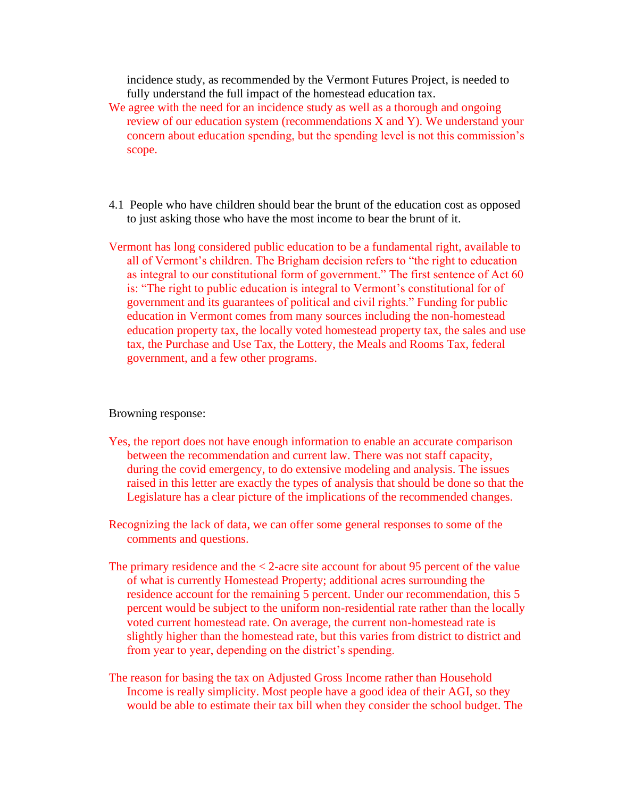incidence study, as recommended by the Vermont Futures Project, is needed to fully understand the full impact of the homestead education tax.

- We agree with the need for an incidence study as well as a thorough and ongoing review of our education system (recommendations X and Y). We understand your concern about education spending, but the spending level is not this commission's scope.
- 4.1 People who have children should bear the brunt of the education cost as opposed to just asking those who have the most income to bear the brunt of it.
- Vermont has long considered public education to be a fundamental right, available to all of Vermont's children. The Brigham decision refers to "the right to education as integral to our constitutional form of government." The first sentence of Act 60 is: "The right to public education is integral to Vermont's constitutional for of government and its guarantees of political and civil rights." Funding for public education in Vermont comes from many sources including the non-homestead education property tax, the locally voted homestead property tax, the sales and use tax, the Purchase and Use Tax, the Lottery, the Meals and Rooms Tax, federal government, and a few other programs.

## Browning response:

- Yes, the report does not have enough information to enable an accurate comparison between the recommendation and current law. There was not staff capacity, during the covid emergency, to do extensive modeling and analysis. The issues raised in this letter are exactly the types of analysis that should be done so that the Legislature has a clear picture of the implications of the recommended changes.
- Recognizing the lack of data, we can offer some general responses to some of the comments and questions.
- The primary residence and the  $\lt 2$ -acre site account for about 95 percent of the value of what is currently Homestead Property; additional acres surrounding the residence account for the remaining 5 percent. Under our recommendation, this 5 percent would be subject to the uniform non-residential rate rather than the locally voted current homestead rate. On average, the current non-homestead rate is slightly higher than the homestead rate, but this varies from district to district and from year to year, depending on the district's spending.
- The reason for basing the tax on Adjusted Gross Income rather than Household Income is really simplicity. Most people have a good idea of their AGI, so they would be able to estimate their tax bill when they consider the school budget. The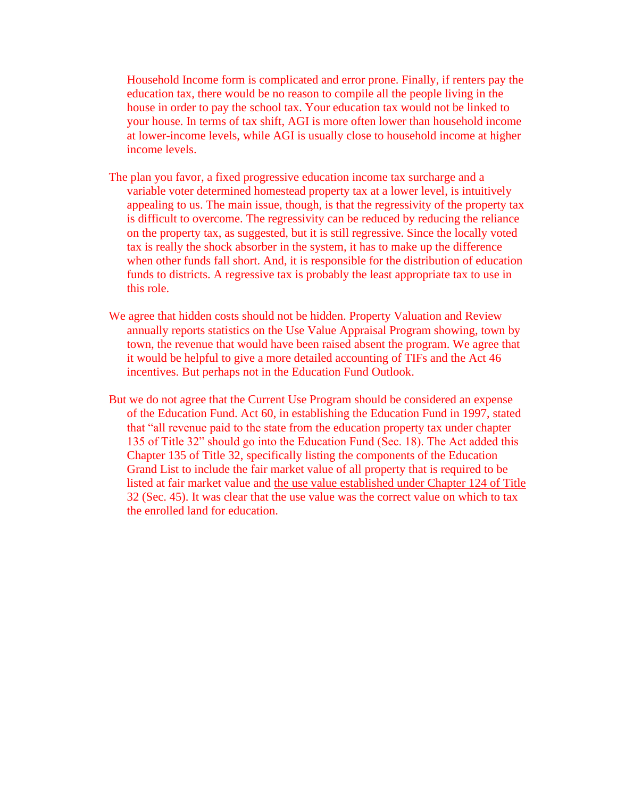Household Income form is complicated and error prone. Finally, if renters pay the education tax, there would be no reason to compile all the people living in the house in order to pay the school tax. Your education tax would not be linked to your house. In terms of tax shift, AGI is more often lower than household income at lower-income levels, while AGI is usually close to household income at higher income levels.

- The plan you favor, a fixed progressive education income tax surcharge and a variable voter determined homestead property tax at a lower level, is intuitively appealing to us. The main issue, though, is that the regressivity of the property tax is difficult to overcome. The regressivity can be reduced by reducing the reliance on the property tax, as suggested, but it is still regressive. Since the locally voted tax is really the shock absorber in the system, it has to make up the difference when other funds fall short. And, it is responsible for the distribution of education funds to districts. A regressive tax is probably the least appropriate tax to use in this role.
- We agree that hidden costs should not be hidden. Property Valuation and Review annually reports statistics on the Use Value Appraisal Program showing, town by town, the revenue that would have been raised absent the program. We agree that it would be helpful to give a more detailed accounting of TIFs and the Act 46 incentives. But perhaps not in the Education Fund Outlook.
- But we do not agree that the Current Use Program should be considered an expense of the Education Fund. Act 60, in establishing the Education Fund in 1997, stated that "all revenue paid to the state from the education property tax under chapter 135 of Title 32" should go into the Education Fund (Sec. 18). The Act added this Chapter 135 of Title 32, specifically listing the components of the Education Grand List to include the fair market value of all property that is required to be listed at fair market value and the use value established under Chapter 124 of Title 32 (Sec. 45). It was clear that the use value was the correct value on which to tax the enrolled land for education.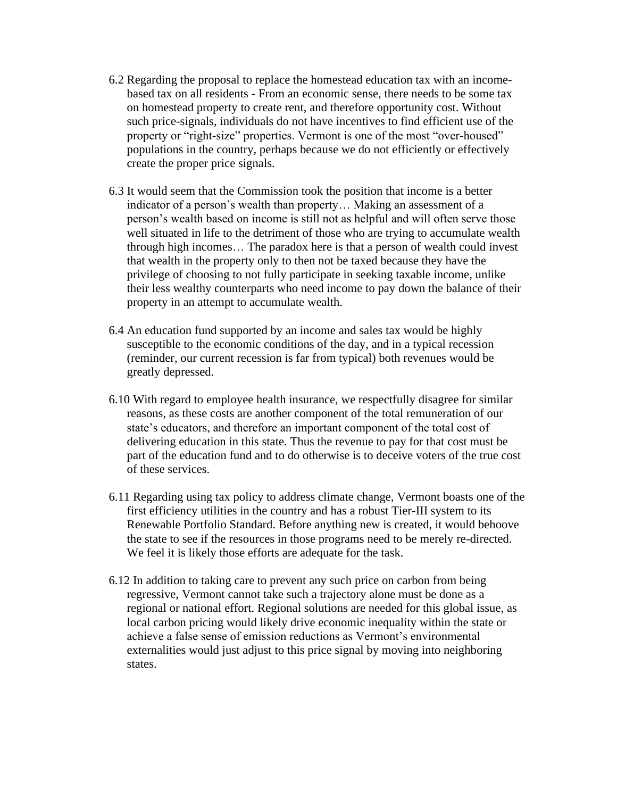- 6.2 Regarding the proposal to replace the homestead education tax with an incomebased tax on all residents - From an economic sense, there needs to be some tax on homestead property to create rent, and therefore opportunity cost. Without such price-signals, individuals do not have incentives to find efficient use of the property or "right-size" properties. Vermont is one of the most "over-housed" populations in the country, perhaps because we do not efficiently or effectively create the proper price signals.
- 6.3 It would seem that the Commission took the position that income is a better indicator of a person's wealth than property… Making an assessment of a person's wealth based on income is still not as helpful and will often serve those well situated in life to the detriment of those who are trying to accumulate wealth through high incomes… The paradox here is that a person of wealth could invest that wealth in the property only to then not be taxed because they have the privilege of choosing to not fully participate in seeking taxable income, unlike their less wealthy counterparts who need income to pay down the balance of their property in an attempt to accumulate wealth.
- 6.4 An education fund supported by an income and sales tax would be highly susceptible to the economic conditions of the day, and in a typical recession (reminder, our current recession is far from typical) both revenues would be greatly depressed.
- 6.10 With regard to employee health insurance, we respectfully disagree for similar reasons, as these costs are another component of the total remuneration of our state's educators, and therefore an important component of the total cost of delivering education in this state. Thus the revenue to pay for that cost must be part of the education fund and to do otherwise is to deceive voters of the true cost of these services.
- 6.11 Regarding using tax policy to address climate change, Vermont boasts one of the first efficiency utilities in the country and has a robust Tier-III system to its Renewable Portfolio Standard. Before anything new is created, it would behoove the state to see if the resources in those programs need to be merely re-directed. We feel it is likely those efforts are adequate for the task.
- 6.12 In addition to taking care to prevent any such price on carbon from being regressive, Vermont cannot take such a trajectory alone must be done as a regional or national effort. Regional solutions are needed for this global issue, as local carbon pricing would likely drive economic inequality within the state or achieve a false sense of emission reductions as Vermont's environmental externalities would just adjust to this price signal by moving into neighboring states.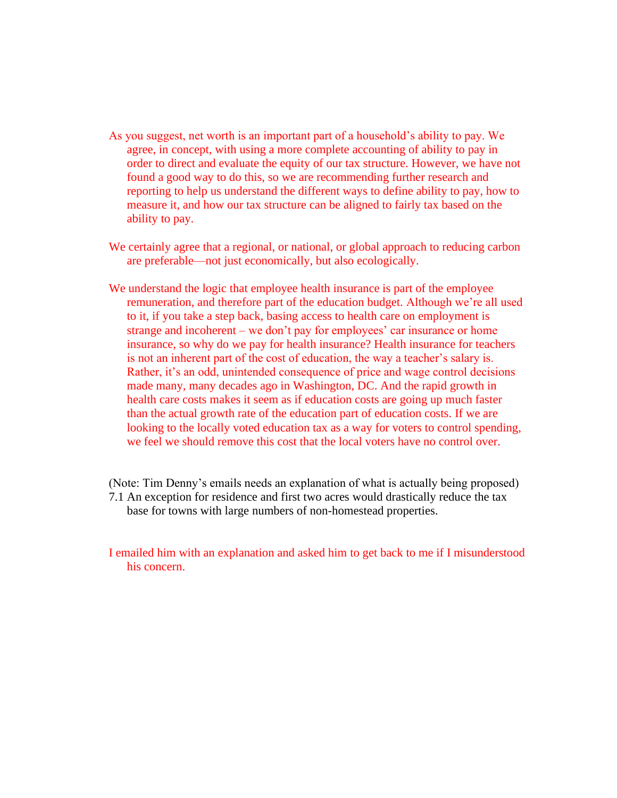- As you suggest, net worth is an important part of a household's ability to pay. We agree, in concept, with using a more complete accounting of ability to pay in order to direct and evaluate the equity of our tax structure. However, we have not found a good way to do this, so we are recommending further research and reporting to help us understand the different ways to define ability to pay, how to measure it, and how our tax structure can be aligned to fairly tax based on the ability to pay.
- We certainly agree that a regional, or national, or global approach to reducing carbon are preferable—not just economically, but also ecologically.
- We understand the logic that employee health insurance is part of the employee remuneration, and therefore part of the education budget. Although we're all used to it, if you take a step back, basing access to health care on employment is strange and incoherent – we don't pay for employees' car insurance or home insurance, so why do we pay for health insurance? Health insurance for teachers is not an inherent part of the cost of education, the way a teacher's salary is. Rather, it's an odd, unintended consequence of price and wage control decisions made many, many decades ago in Washington, DC. And the rapid growth in health care costs makes it seem as if education costs are going up much faster than the actual growth rate of the education part of education costs. If we are looking to the locally voted education tax as a way for voters to control spending, we feel we should remove this cost that the local voters have no control over.
- (Note: Tim Denny's emails needs an explanation of what is actually being proposed) 7.1 An exception for residence and first two acres would drastically reduce the tax base for towns with large numbers of non-homestead properties.
- I emailed him with an explanation and asked him to get back to me if I misunderstood his concern.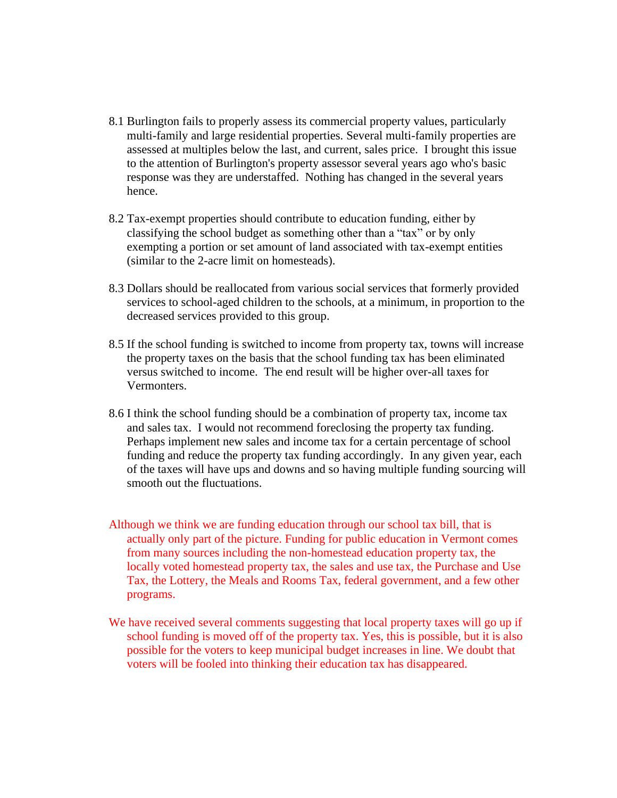- 8.1 Burlington fails to properly assess its commercial property values, particularly multi-family and large residential properties. Several multi-family properties are assessed at multiples below the last, and current, sales price. I brought this issue to the attention of Burlington's property assessor several years ago who's basic response was they are understaffed. Nothing has changed in the several years hence.
- 8.2 Tax-exempt properties should contribute to education funding, either by classifying the school budget as something other than a "tax" or by only exempting a portion or set amount of land associated with tax-exempt entities (similar to the 2-acre limit on homesteads).
- 8.3 Dollars should be reallocated from various social services that formerly provided services to school-aged children to the schools, at a minimum, in proportion to the decreased services provided to this group.
- 8.5 If the school funding is switched to income from property tax, towns will increase the property taxes on the basis that the school funding tax has been eliminated versus switched to income. The end result will be higher over-all taxes for Vermonters.
- 8.6 I think the school funding should be a combination of property tax, income tax and sales tax. I would not recommend foreclosing the property tax funding. Perhaps implement new sales and income tax for a certain percentage of school funding and reduce the property tax funding accordingly. In any given year, each of the taxes will have ups and downs and so having multiple funding sourcing will smooth out the fluctuations.
- Although we think we are funding education through our school tax bill, that is actually only part of the picture. Funding for public education in Vermont comes from many sources including the non-homestead education property tax, the locally voted homestead property tax, the sales and use tax, the Purchase and Use Tax, the Lottery, the Meals and Rooms Tax, federal government, and a few other programs.
- We have received several comments suggesting that local property taxes will go up if school funding is moved off of the property tax. Yes, this is possible, but it is also possible for the voters to keep municipal budget increases in line. We doubt that voters will be fooled into thinking their education tax has disappeared.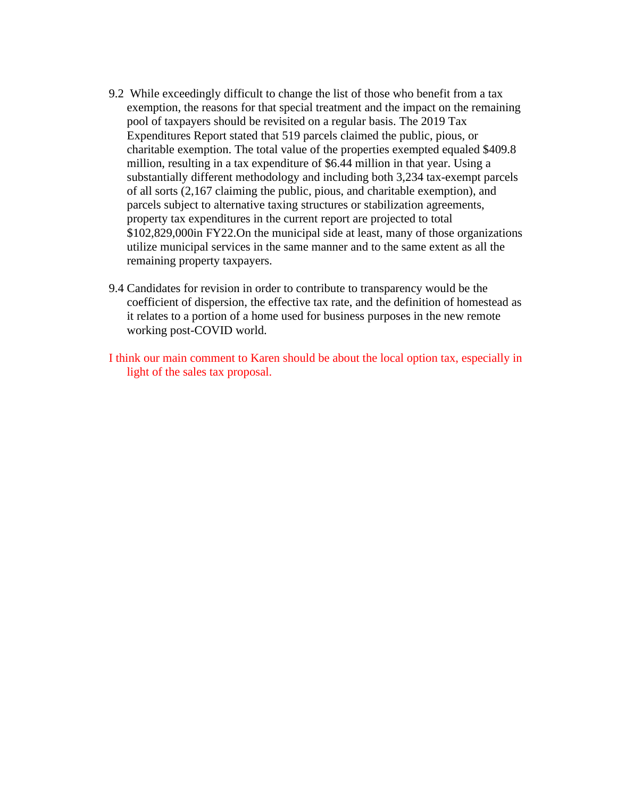- 9.2 While exceedingly difficult to change the list of those who benefit from a tax exemption, the reasons for that special treatment and the impact on the remaining pool of taxpayers should be revisited on a regular basis. The 2019 Tax Expenditures Report stated that 519 parcels claimed the public, pious, or charitable exemption. The total value of the properties exempted equaled \$409.8 million, resulting in a tax expenditure of \$6.44 million in that year. Using a substantially different methodology and including both 3,234 tax-exempt parcels of all sorts (2,167 claiming the public, pious, and charitable exemption), and parcels subject to alternative taxing structures or stabilization agreements, property tax expenditures in the current report are projected to total \$102,829,000in FY22.On the municipal side at least, many of those organizations utilize municipal services in the same manner and to the same extent as all the remaining property taxpayers.
- 9.4 Candidates for revision in order to contribute to transparency would be the coefficient of dispersion, the effective tax rate, and the definition of homestead as it relates to a portion of a home used for business purposes in the new remote working post-COVID world.

I think our main comment to Karen should be about the local option tax, especially in light of the sales tax proposal.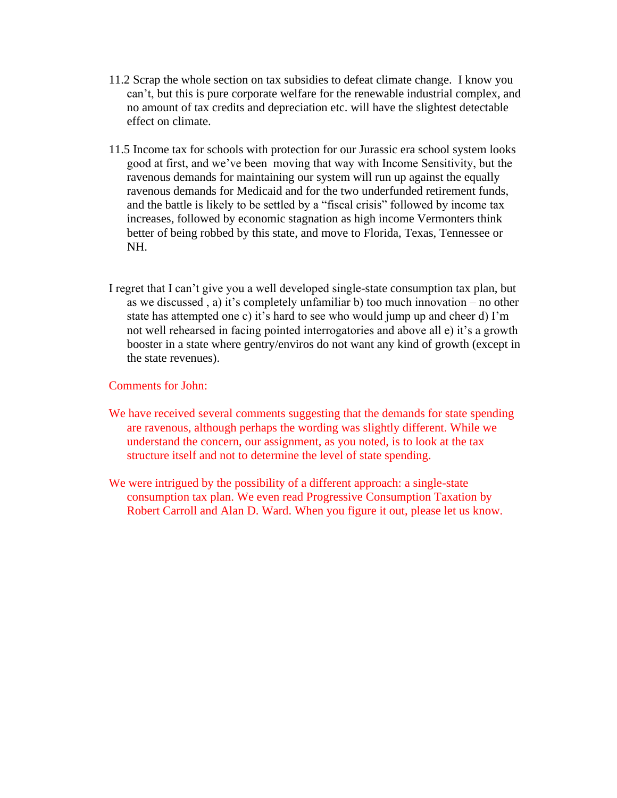- 11.2 Scrap the whole section on tax subsidies to defeat climate change. I know you can't, but this is pure corporate welfare for the renewable industrial complex, and no amount of tax credits and depreciation etc. will have the slightest detectable effect on climate.
- 11.5 Income tax for schools with protection for our Jurassic era school system looks good at first, and we've been moving that way with Income Sensitivity, but the ravenous demands for maintaining our system will run up against the equally ravenous demands for Medicaid and for the two underfunded retirement funds, and the battle is likely to be settled by a "fiscal crisis" followed by income tax increases, followed by economic stagnation as high income Vermonters think better of being robbed by this state, and move to Florida, Texas, Tennessee or NH.
- I regret that I can't give you a well developed single-state consumption tax plan, but as we discussed , a) it's completely unfamiliar b) too much innovation – no other state has attempted one c) it's hard to see who would jump up and cheer d) I'm not well rehearsed in facing pointed interrogatories and above all e) it's a growth booster in a state where gentry/enviros do not want any kind of growth (except in the state revenues).

## Comments for John:

- We have received several comments suggesting that the demands for state spending are ravenous, although perhaps the wording was slightly different. While we understand the concern, our assignment, as you noted, is to look at the tax structure itself and not to determine the level of state spending.
- We were intrigued by the possibility of a different approach: a single-state consumption tax plan. We even read Progressive Consumption Taxation by Robert Carroll and Alan D. Ward. When you figure it out, please let us know.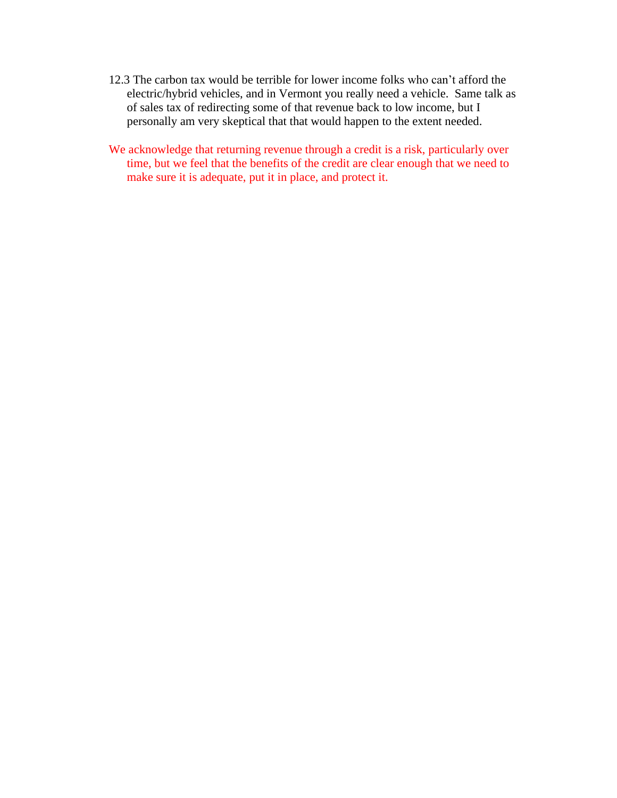- 12.3 The carbon tax would be terrible for lower income folks who can't afford the electric/hybrid vehicles, and in Vermont you really need a vehicle. Same talk as of sales tax of redirecting some of that revenue back to low income, but I personally am very skeptical that that would happen to the extent needed.
- We acknowledge that returning revenue through a credit is a risk, particularly over time, but we feel that the benefits of the credit are clear enough that we need to make sure it is adequate, put it in place, and protect it.